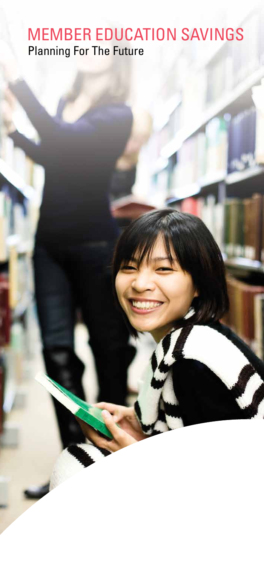# MEMBER EDUCATION SAVINGS Planning For The Future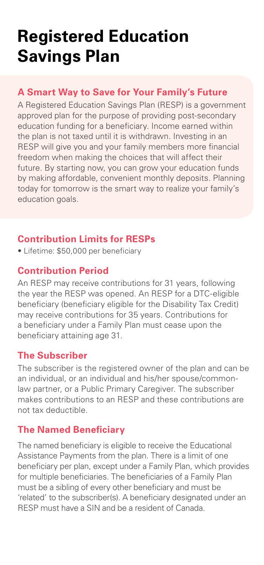# **Registered Education Savings Plan**

#### **A Smart Way to Save for Your Family's Future**

A Registered Education Savings Plan (RESP) is a government approved plan for the purpose of providing post-secondary education funding for a beneficiary. Income earned within the plan is not taxed until it is withdrawn. Investing in an RESP will give you and your family members more financial freedom when making the choices that will affect their future. By starting now, you can grow your education funds by making affordable, convenient monthly deposits. Planning today for tomorrow is the smart way to realize your family's education goals.

#### **Contribution Limits for RESPs**

• Lifetime: \$50,000 per beneficiary

## **Contribution Period**

An RESP may receive contributions for 31 years, following the year the RESP was opened. An RESP for a DTC-eligible beneficiary (beneficiary eligible for the Disability Tax Credit) may receive contributions for 35 years. Contributions for a beneficiary under a Family Plan must cease upon the beneficiary attaining age 31.

#### **The Subscriber**

The subscriber is the registered owner of the plan and can be an individual, or an individual and his/her spouse/commonlaw partner, or a Public Primary Caregiver. The subscriber makes contributions to an RESP and these contributions are not tax deductible.

#### **The Named Beneficiary**

The named beneficiary is eligible to receive the Educational Assistance Payments from the plan. There is a limit of one beneficiary per plan, except under a Family Plan, which provides for multiple beneficiaries. The beneficiaries of a Family Plan must be a sibling of every other beneficiary and must be 'related' to the subscriber(s). A beneficiary designated under an RESP must have a SIN and be a resident of Canada.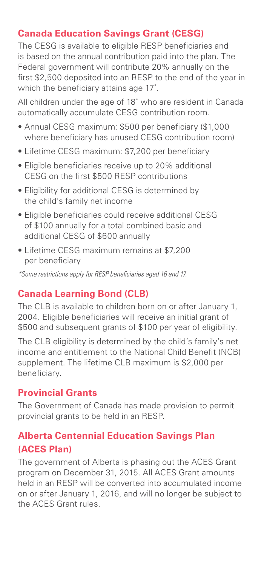#### **Canada Education Savings Grant (CESG)**

The CESG is available to eligible RESP beneficiaries and is based on the annual contribution paid into the plan. The Federal government will contribute 20% annually on the first \$2,500 deposited into an RESP to the end of the year in which the beneficiary attains age 17\* .

All children under the age of 18\* who are resident in Canada automatically accumulate CESG contribution room.

- Annual CESG maximum: \$500 per beneficiary (\$1,000 where beneficiary has unused CESG contribution room)
- Lifetime CESG maximum: \$7,200 per beneficiary
- Eligible beneficiaries receive up to 20% additional CESG on the first \$500 RESP contributions
- Eligibility for additional CESG is determined by the child's family net income
- Eligible beneficiaries could receive additional CESG of \$100 annually for a total combined basic and additional CESG of \$600 annually
- Lifetime CESG maximum remains at \$7,200 per beneficiary

*\*Some restrictions apply for RESP beneficiaries aged 16 and 17.*

#### **Canada Learning Bond (CLB)**

The CLB is available to children born on or after January 1, 2004. Eligible beneficiaries will receive an initial grant of \$500 and subsequent grants of \$100 per year of eligibility.

The CLB eligibility is determined by the child's family's net income and entitlement to the National Child Benefit (NCB) supplement. The lifetime CLB maximum is \$2,000 per beneficiary.

#### **Provincial Grants**

The Government of Canada has made provision to permit provincial grants to be held in an RESP.

#### **Alberta Centennial Education Savings Plan (ACES Plan)**

The government of Alberta is phasing out the ACES Grant program on December 31, 2015. All ACES Grant amounts held in an RESP will be converted into accumulated income on or after January 1, 2016, and will no longer be subject to the ACES Grant rules.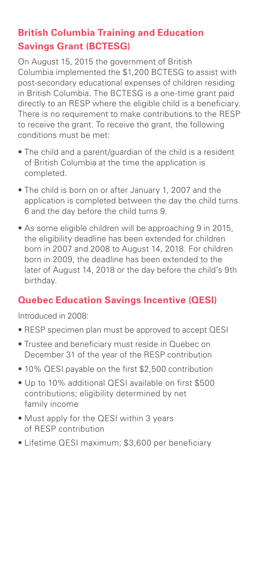# **British Columbia Training and Education Savings Grant (BCTESG)**

On August 15, 2015 the government of British Columbia implemented the \$1,200 BCTESG to assist with post-secondary educational expenses of children residing in British Columbia. The BCTESG is a one-time grant paid directly to an RESP where the eligible child is a beneficiary. There is no requirement to make contributions to the RESP to receive the grant. To receive the grant, the following conditions must be met:

- The child and a parent/guardian of the child is a resident of British Columbia at the time the application is completed.
- The child is born on or after January 1, 2007 and the application is completed between the day the child turns 6 and the day before the child turns 9.
- As some eligible children will be approaching 9 in 2015, the eligibility deadline has been extended for children born in 2007 and 2008 to August 14, 2018. For children born in 2009, the deadline has been extended to the later of August 14, 2018 or the day before the child's 9th birthday.

## **Quebec Education Savings Incentive (QESI)**

Introduced in 2008:

- RESP specimen plan must be approved to accept QESI
- Trustee and beneficiary must reside in Quebec on December 31 of the year of the RESP contribution
- 10% QESI payable on the first \$2,500 contribution
- Up to 10% additional QESI available on first \$500 contributions; eligibility determined by net family income
- Must apply for the QESI within 3 years of RESP contribution
- Lifetime QESI maximum; \$3,600 per beneficiary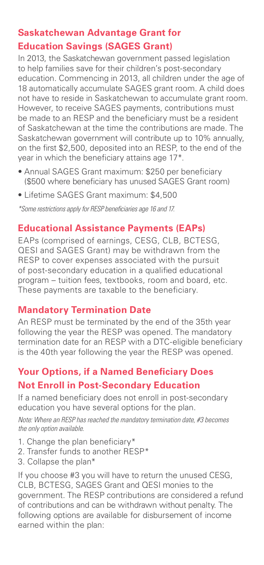# **Saskatchewan Advantage Grant for Education Savings (SAGES Grant)**

In 2013, the Saskatchewan government passed legislation to help families save for their children's post-secondary education. Commencing in 2013, all children under the age of 18 automatically accumulate SAGES grant room. A child does not have to reside in Saskatchewan to accumulate grant room. However, to receive SAGES payments, contributions must be made to an RESP and the beneficiary must be a resident of Saskatchewan at the time the contributions are made. The Saskatchewan government will contribute up to 10% annually, on the first \$2,500, deposited into an RESP, to the end of the year in which the beneficiary attains age 17\*.

- Annual SAGES Grant maximum: \$250 per beneficiary (\$500 where beneficiary has unused SAGES Grant room)
- Lifetime SAGES Grant maximum: \$4,500

*\*Some restrictions apply for RESP beneficiaries age 16 and 17.*

#### **Educational Assistance Payments (EAPs)**

EAPs (comprised of earnings, CESG, CLB, BCTESG, QESI and SAGES Grant) may be withdrawn from the RESP to cover expenses associated with the pursuit of post-secondary education in a qualified educational program – tuition fees, textbooks, room and board, etc. These payments are taxable to the beneficiary.

#### **Mandatory Termination Date**

An RESP must be terminated by the end of the 35th year following the year the RESP was opened. The mandatory termination date for an RESP with a DTC-eligible beneficiary is the 40th year following the year the RESP was opened.

## **Your Options, if a Named Beneficiary Does Not Enroll in Post-Secondary Education**

If a named beneficiary does not enroll in post-secondary education you have several options for the plan.

*Note: Where an RESP has reached the mandatory termination date, #3 becomes the only option available.*

- 1. Change the plan beneficiary\*
- 2. Transfer funds to another RESP\*
- 3. Collapse the plan\*

If you choose #3 you will have to return the unused CESG, CLB, BCTESG, SAGES Grant and QESI monies to the government. The RESP contributions are considered a refund of contributions and can be withdrawn without penalty. The following options are available for disbursement of income earned within the plan: